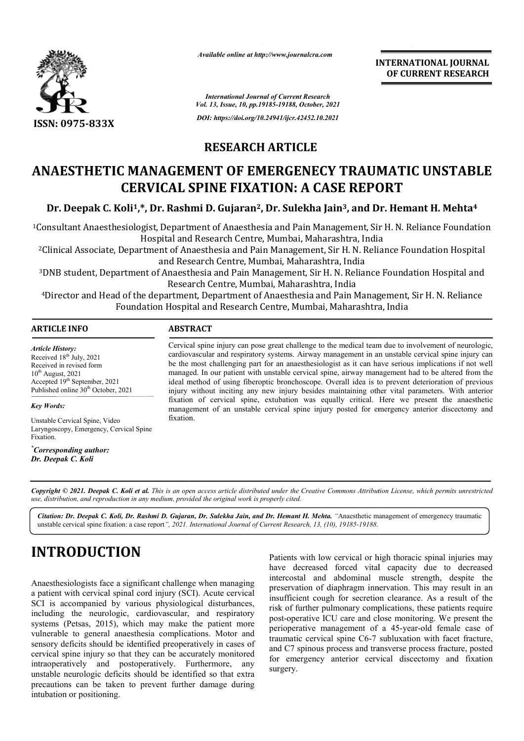

*Available online at http://www.journalcra.com*

**INTERNATIONAL JOURNAL OF CURRENT RESEARCH**

*International Journal of Current Research Vol. 13, Issue, 10, pp.19185-19188, October, 2021 DOI: https://doi.org/10.24941/ijcr.42452.10.2021*

### **RESEARCH ARTICLE**

## **ANAESTHETIC MANAGEMENT OF EMERGENECY TRAUMATIC UNSTABLE CERVICAL SPINE FIXATION: A CASE REPORT**

**Dr. Deepak C. Koli1,\*, Dr. Rashmi D. Gujaran2, Dr. Sulekha Jain3, and Dr. Hemant H. Mehta4**

<sup>1</sup>Consultant Anaesthesiologist, Department of Anaesthesia and Pain Management, Sir H. N. Reliance Foundation Hospital and Research Centre, Mumbai, Maharashtra, India

<sup>2</sup>Clinical Associate, Department of Anaesthesia and Pain Management, Sir H. N. Reliance Foundation Hospital and Research Centre, Mumbai, Maharashtra, India

<sup>3</sup>DNB student, Department of Anaesthesia and Pain Management, Sir H. N. Reliance Foundation Hospital and Research Centre, Mumbai, Maharashtra, India

<sup>4</sup>Director and Head of the department, Department of Anaesthesia and Pain Management, Sir H. N. Reliance Foundation Hospital and Research Centre, Mumbai, Maharashtra, India

#### **ARTICLE INFO ABSTRACT**

*Article History: Article History:* Received  $18<sup>th</sup>$  July, 2021 Received in revised form  $10^{th}$  August, 2021 Accepted 19<sup>th</sup> September, 2021 Published online 30<sup>th</sup> October, 2021

*Key Words:*

Unstable Cervical Spine, Video Laryngoscopy, Emergency, Cervical Spine Fixation.

*\* Corresponding author: Dr. Deepak C. Koli*

Cervical spine injury can pose great challenge to the medical team due to involvement of neurologic, cardiovascular and respiratory systems. Airway management in an unstable cervical spine injury can be the most challenging part for an anaesthesiologist as it can have serious implications if not well managed. In our patient with unstable cervical spine, airway management had to be altered from the ideal method of using fiberoptic bronchoscope. Overall idea is to prevent deterioration of previous injury without inciting any new injury besides maintaining other vital parameters. With anterior fixation of cervical spine, extubation was equally critical. Here we present the anaesthetic management of an unstable cervical spine injury posted for emergency anterior discectomy and fixation.

Copyright © 2021. Deepak C. Koli et al. This is an open access article distributed under the Creative Commons Attribution License, which permits unrestricted *use, distribution, and reproduction in any medium, provided the original work is properly cited.*

Citation: Dr. Deepak C. Koli, Dr. Rashmi D. Gujaran, Dr. Sulekha Jain, and Dr. Hemant H. Mehta. "Anaesthetic management of emergenecy traumatic unstable cervical spine fixation: a case report*", 2021. International Journal of Current Research, 13, (10), 19185-19188.*

# **INTRODUCTION**

Anaesthesiologists face a significant challenge when managing a patient with cervical spinal cord injury (SCI). Acute cervical SCI is accompanied by various physiological disturbances, including the neurologic, cardiovascular, and respiratory systems (Petsas, 2015), which may make the patient more vulnerable to general anaesthesia complications. Motor and sensory deficits should be identified preoperatively in cases of cervical spine injury so that they can be accurately monitored intraoperatively and postoperatively. Furthermore, any unstable neurologic deficits should be identified so that extra precautions can be taken to prevent further damage during intubation or positioning.

Patients with low cervical or high thoracic spinal injuries may have decreased forced vital capacity due to decreased intercostal and abdominal muscle strength, despite the preservation of diaphragm innervation. This may result in an insufficient cough for secretion clearance. As a result of the risk of further pulmonary complications, these patients require post-operative ICU care and close monitoring. We present the perioperative management of a 45-year-old female case of traumatic cervical spine C6-7 subluxation with facet fracture, and C7 spinous process and transverse process fracture, posted for emergency anterior cervical discectomy and fixation surgery.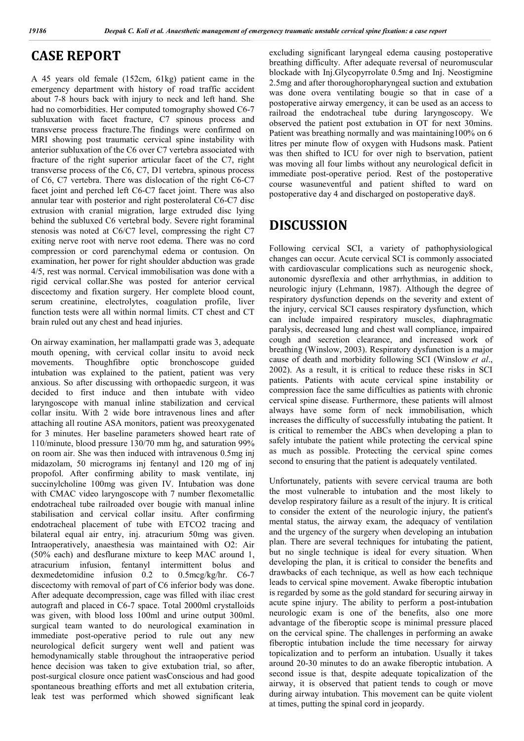#### **CASE REPORT**

A 45 years old female (152cm, 61kg) patient came in the emergency department with history of road traffic accident about 7-8 hours back with injury to neck and left hand. She had no comorbidities. Her computed tomography showed C6-7 subluxation with facet fracture, C7 spinous process and transverse process fracture.The findings were confirmed on MRI showing post traumatic cervical spine instability with anterior subluxation of the C6 over C7 vertebra associated with fracture of the right superior articular facet of the C7, right transverse process of the C6, C7, D1 vertebra, spinous process of C6, C7 vertebra. There was dislocation of the right C6-C7 facet joint and perched left C6-C7 facet joint. There was also annular tear with posterior and right posterolateral C6-C7 disc extrusion with cranial migration, large extruded disc lying behind the subluxed C6 vertebral body. Severe right foraminal stenosis was noted at C6/C7 level, compressing the right C7 exiting nerve root with nerve root edema. There was no cord compression or cord parenchymal edema or contusion. On examination, her power for right shoulder abduction was grade 4/5, rest was normal. Cervical immobilisation was done with a rigid cervical collar.She was posted for anterior cervical discectomy and fixation surgery. Her complete blood count, serum creatinine, electrolytes, coagulation profile, liver function tests were all within normal limits. CT chest and CT brain ruled out any chest and head injuries.

On airway examination, her mallampatti grade was 3, adequate mouth opening, with cervical collar insitu to avoid neck movements. Thoughfibre optic bronchoscope guided intubation was explained to the patient, patient was very anxious. So after discussing with orthopaedic surgeon, it was decided to first induce and then intubate with video laryngoscope with manual inline stabilization and cervical collar insitu. With 2 wide bore intravenous lines and after attaching all routine ASA monitors, patient was preoxygenated for 3 minutes. Her baseline parameters showed heart rate of 110/minute, blood pressure 130/70 mm hg, and saturation 99% on room air. She was then induced with intravenous 0.5mg inj midazolam, 50 micrograms inj fentanyl and 120 mg of inj propofol. After confirming ability to mask ventilate, inj succinylcholine 100mg was given IV. Intubation was done with CMAC video laryngoscope with 7 number flexometallic endotracheal tube railroaded over bougie with manual inline stabilisation and cervical collar insitu. After confirming endotracheal placement of tube with ETCO2 tracing and bilateral equal air entry, inj. atracurium 50mg was given. Intraoperatively, anaesthesia was maintained with O2: Air (50% each) and desflurane mixture to keep MAC around 1, atracurium infusion, fentanyl intermittent bolus and dexmedetomidine infusion 0.2 to 0.5mcg/kg/hr. C6-7 discectomy with removal of part of C6 inferior body was done. After adequate decompression, cage was filled with iliac crest autograft and placed in C6-7 space. Total 2000ml crystalloids was given, with blood loss 100ml and urine output 300ml. surgical team wanted to do neurological examination in immediate post-operative period to rule out any new neurological deficit surgery went well and patient was hemodynamically stable throughout the intraoperative period hence decision was taken to give extubation trial, so after, post-surgical closure once patient wasConscious and had good spontaneous breathing efforts and met all extubation criteria, leak test was performed which showed significant leak

excluding significant laryngeal edema causing postoperative breathing difficulty. After adequate reversal of neuromuscular blockade with Inj.Glycopyrrolate 0.5mg and Inj. Neostigmine 2.5mg and after thoroughoropharyngeal suction and extubation was done overa ventilating bougie so that in case of a postoperative airway emergency, it can be used as an access to railroad the endotracheal tube during laryngoscopy. We observed the patient post extubation in OT for next 30mins. Patient was breathing normally and was maintaining100% on 6 litres per minute flow of oxygen with Hudsons mask. Patient was then shifted to ICU for over nigh to bservation, patient was moving all four limbs without any neurological deficit in immediate post-operative period. Rest of the postoperative course wasuneventful and patient shifted to ward on postoperative day 4 and discharged on postoperative day8.

### **DISCUSSION**

Following cervical SCI, a variety of pathophysiological changes can occur. Acute cervical SCI is commonly associated with cardiovascular complications such as neurogenic shock, autonomic dysreflexia and other arrhythmias, in addition to neurologic injury (Lehmann, 1987). Although the degree of respiratory dysfunction depends on the severity and extent of the injury, cervical SCI causes respiratory dysfunction, which can include impaired respiratory muscles, diaphragmatic paralysis, decreased lung and chest wall compliance, impaired cough and secretion clearance, and increased work of breathing (Winslow, 2003). Respiratory dysfunction is a major cause of death and morbidity following SCI (Winslow *et al*., 2002). As a result, it is critical to reduce these risks in SCI patients. Patients with acute cervical spine instability or compression face the same difficulties as patients with chronic cervical spine disease. Furthermore, these patients will almost always have some form of neck immobilisation, which increases the difficulty of successfully intubating the patient. It is critical to remember the ABCs when developing a plan to safely intubate the patient while protecting the cervical spine as much as possible. Protecting the cervical spine comes second to ensuring that the patient is adequately ventilated.

Unfortunately, patients with severe cervical trauma are both the most vulnerable to intubation and the most likely to develop respiratory failure as a result of the injury. It is critical to consider the extent of the neurologic injury, the patient's mental status, the airway exam, the adequacy of ventilation and the urgency of the surgery when developing an intubation plan. There are several techniques for intubating the patient, but no single technique is ideal for every situation. When developing the plan, it is critical to consider the benefits and drawbacks of each technique, as well as how each technique leads to cervical spine movement. Awake fiberoptic intubation is regarded by some as the gold standard for securing airway in acute spine injury. The ability to perform a post-intubation neurologic exam is one of the benefits, also one more advantage of the fiberoptic scope is minimal pressure placed on the cervical spine. The challenges in performing an awake fiberoptic intubation include the time necessary for airway topicalization and to perform an intubation. Usually it takes around 20-30 minutes to do an awake fiberoptic intubation. A second issue is that, despite adequate topicalization of the airway, it is observed that patient tends to cough or move during airway intubation. This movement can be quite violent at times, putting the spinal cord in jeopardy.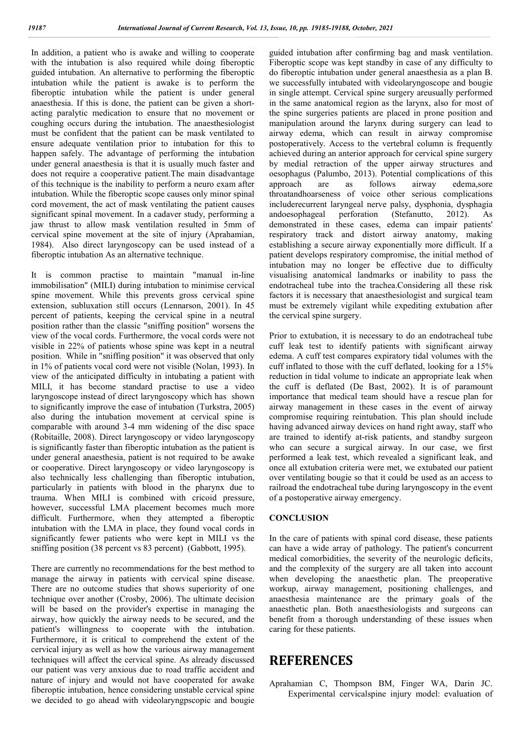In addition, a patient who is awake and willing to cooperate with the intubation is also required while doing fiberoptic guided intubation. An alternative to performing the fiberoptic intubation while the patient is awake is to perform the fiberoptic intubation while the patient is under general anaesthesia. If this is done, the patient can be given a shortacting paralytic medication to ensure that no movement or coughing occurs during the intubation. The anaesthesiologist must be confident that the patient can be mask ventilated to ensure adequate ventilation prior to intubation for this to happen safely. The advantage of performing the intubation under general anaesthesia is that it is usually much faster and does not require a cooperative patient.The main disadvantage of this technique is the inability to perform a neuro exam after intubation. While the fiberoptic scope causes only minor spinal cord movement, the act of mask ventilating the patient causes significant spinal movement. In a cadaver study, performing a jaw thrust to allow mask ventilation resulted in 5mm of cervical spine movement at the site of injury (Aprahamian, 1984). Also direct laryngoscopy can be used instead of a fiberoptic intubation As an alternative technique.

It is common practise to maintain "manual in-line immobilisation" (MILI) during intubation to minimise cervical spine movement. While this prevents gross cervical spine extension, subluxation still occurs (Lennarson, 2001). In 45 percent of patients, keeping the cervical spine in a neutral position rather than the classic "sniffing position" worsens the view of the vocal cords. Furthermore, the vocal cords were not visible in 22% of patients whose spine was kept in a neutral position. While in "sniffing position" it was observed that only in 1% of patients vocal cord were not visible (Nolan, 1993). In view of the anticipated difficulty in intubating a patient with MILI, it has become standard practise to use a video laryngoscope instead of direct laryngoscopy which has shown to significantly improve the ease of intubation (Turkstra, 2005) also during the intubation movement at cervical spine is comparable with around 3-4 mm widening of the disc space (Robitaille, 2008). Direct laryngoscopy or video laryngoscopy is significantly faster than fiberoptic intubation as the patient is under general anaesthesia, patient is not required to be awake or cooperative. Direct laryngoscopy or video laryngoscopy is also technically less challenging than fiberoptic intubation, particularly in patients with blood in the pharynx due to trauma. When MILI is combined with cricoid pressure, however, successful LMA placement becomes much more difficult. Furthermore, when they attempted a fiberoptic intubation with the LMA in place, they found vocal cords in significantly fewer patients who were kept in MILI vs the sniffing position (38 percent vs 83 percent) (Gabbott, 1995).

There are currently no recommendations for the best method to manage the airway in patients with cervical spine disease. There are no outcome studies that shows superiority of one technique over another (Crosby, 2006). The ultimate decision will be based on the provider's expertise in managing the airway, how quickly the airway needs to be secured, and the patient's willingness to cooperate with the intubation. Furthermore, it is critical to comprehend the extent of the cervical injury as well as how the various airway management techniques will affect the cervical spine. As already discussed our patient was very anxious due to road traffic accident and nature of injury and would not have cooperated for awake fiberoptic intubation, hence considering unstable cervical spine we decided to go ahead with videolaryngpscopic and bougie

guided intubation after confirming bag and mask ventilation. Fiberoptic scope was kept standby in case of any difficulty to do fiberoptic intubation under general anaesthesia as a plan B. we successfully intubated with videolaryngoscope and bougie in single attempt. Cervical spine surgery areusually performed in the same anatomical region as the larynx, also for most of the spine surgeries patients are placed in prone position and manipulation around the larynx during surgery can lead to airway edema, which can result in airway compromise postoperatively. Access to the vertebral column is frequently achieved during an anterior approach for cervical spine surgery by medial retraction of the upper airway structures and oesophagus (Palumbo, 2013). Potential complications of this approach are as follows airway edema,sore throatandhoarseness of voice other serious complications includerecurrent laryngeal nerve palsy, dysphonia, dysphagia andoesophageal perforation (Stefanutto, 2012). As demonstrated in these cases, edema can impair patients' respiratory track and distort airway anatomy, making establishing a secure airway exponentially more difficult. If a patient develops respiratory compromise, the initial method of intubation may no longer be effective due to difficulty visualising anatomical landmarks or inability to pass the endotracheal tube into the trachea.Considering all these risk factors it is necessary that anaesthesiologist and surgical team must be extremely vigilant while expediting extubation after the cervical spine surgery.

Prior to extubation, it is necessary to do an endotracheal tube cuff leak test to identify patients with significant airway edema. A cuff test compares expiratory tidal volumes with the cuff inflated to those with the cuff deflated, looking for a 15% reduction in tidal volume to indicate an appropriate leak when the cuff is deflated (De Bast, 2002). It is of paramount importance that medical team should have a rescue plan for airway management in these cases in the event of airway compromise requiring reintubation. This plan should include having advanced airway devices on hand right away, staff who are trained to identify at-risk patients, and standby surgeon who can secure a surgical airway. In our case, we first performed a leak test, which revealed a significant leak, and once all extubation criteria were met, we extubated our patient over ventilating bougie so that it could be used as an access to railroad the endotracheal tube during laryngoscopy in the event of a postoperative airway emergency.

#### **CONCLUSION**

In the care of patients with spinal cord disease, these patients can have a wide array of pathology. The patient's concurrent medical comorbidities, the severity of the neurologic deficits, and the complexity of the surgery are all taken into account when developing the anaesthetic plan. The preoperative workup, airway management, positioning challenges, and anaesthesia maintenance are the primary goals of the anaesthetic plan. Both anaesthesiologists and surgeons can benefit from a thorough understanding of these issues when caring for these patients.

#### **REFERENCES**

Aprahamian C, Thompson BM, Finger WA, Darin JC. Experimental cervicalspine injury model: evaluation of